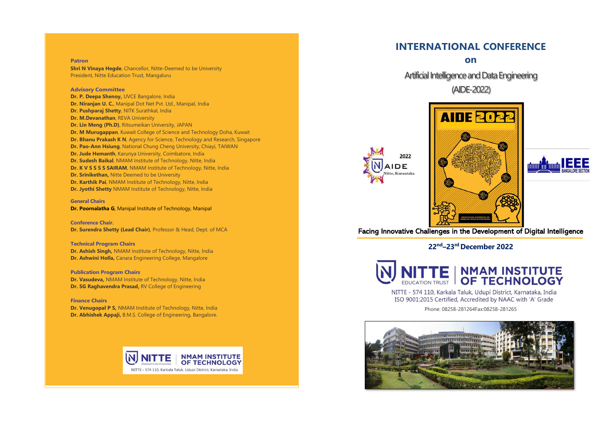#### **Patron**

**Shri N Vinaya Hegde, Chancellor, Nitte-Deemed to be University** President, Nitte Education Trust, Mangaluru

#### **Advisory Committee**

**Dr. P. Deepa Shenoy,** UVCE Bangalore, India **Dr. Niranjan U. C.**, Manipal Dot Net Pvt. Ltd., Manipal, India **Dr. Pushparaj Shetty**, NITK Surathkal, India **Dr. M.Devanathan**, REVA University **Dr. Lin Meng (Ph.D)**, Ritsumeikan University, JAPAN **Dr. M Murugappan**, Kuwait College of Science and Technology Doha, Kuwait **Dr. Bhanu Prakash K N**, Agency for Science, Technology and Research, Singapore **Dr. Pao-Ann Hsiung**, National Chung Cheng University, Chiayi, TAIWAN **Dr. Jude Hemanth**, Karunya University, Coimbatore, India **Dr. Sudesh Baikal**, NMAM Institute of Technology, Nitte, India **Dr. K V S S S S SAIRAM**, NMAM Institute of Technology, Nitte, India **Dr. Srinikethan,** Nitte Deemed to be University **Dr. Karthik Pai**, NMAM Institute of Technology, Nitte, India **Dr. Jyothi Shetty** NMAM Institute of Technology, Nitte, India

**General Chairs Dr. Poornalatha G**, Manipal Institute of Technology, Manipal

**Conference Chair. Dr. Surendra Shetty (Lead Chair)**, Professor & Head, Dept. of MCA

# **Technical Program Chairs**

**Dr. Ashish Singh,** NMAM Institute of Technology, Nitte, India **Dr. Ashwini Holla,** Canara Engineering College, Mangalore

**Publication Program Chairs**

**Dr. Vasudeva,** NMAM Institute of Technology, Nitte, India **Dr. SG Raghavendra Prasad, RV College of Engineering** 

**Finance Chairs**

**Dr. Venugopal P S,** NMAM Institute of Technology, Nitte, India **Dr. Abhishek Appaji,** B.M.S. College of Engineering, Bangalore.



# **INTERNATIONAL CONFERENCE**

**on**

Artificial Intelligence and Data Engineering (AIDE-2022)





Facing Innovative Challenges in the Development of Digital Intelligence

**22 nd –23rd December 2022**



NITTE - 574 110, Karkala Taluk, Udupi District, Karnataka, India ISO 9001:2015 Certified, Accredited by NAAC with 'A' Grade

Phone: 08258-281264Fax:08258-281265

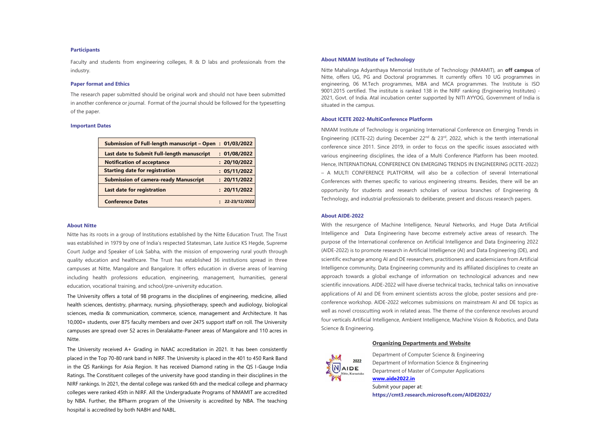#### **Participants**

Faculty and students from engineering colleges,  $R \& D$  labs and professionals from the industry.

#### **Paper format and Ethics**

The research paper submitted should be original work and should not have been submitted in another conference or journal. Format of the journal should be followed for the typesetting of the paper.

#### **Important Dates**

| Submission of Full-length manuscript – Open: 01/03/2022 |               |
|---------------------------------------------------------|---------------|
| Last date to Submit Full-length manuscript              | : 01/08/2022  |
| <b>Notification of acceptance</b>                       | : 20/10/2022  |
| <b>Starting date for registration</b>                   | : 05/11/2022  |
| <b>Submission of camera-ready Manuscript</b>            | : 20/11/2022  |
| Last date for registration                              | : 20/11/2022  |
| <b>Conference Dates</b>                                 | 22-23/12/2022 |

#### **About Nitte**

Nitte has its roots in a group of Institutions established by the Nitte Education Trust. The Trust was established in 1979 by one of India's respected Statesman, Late Justice KS Hegde, Supreme Court Judge and Speaker of Lok Sabha, with the mission of empowering rural youth through quality education and healthcare. The Trust has established 36 institutions spread in three campuses at Nitte, Mangalore and Bangalore. It offers education in diverse areas of learning including health professions education, engineering, management, humanities, general education, vocational training, and school/pre-university education.

The University offers a total of 98 programs in the disciplines of engineering, medicine, allied health sciences, dentistry, pharmacy, nursing, physiotherapy, speech and audiology, biological sciences, media & communication, commerce, science, management and Architecture. It has 10,000+ students, over 875 faculty members and over 2475 support staff on roll. The University campuses are spread over 52 acres in Deralakatte-Paneer areas of Mangalore and 110 acres in Nitte.

The University received A+ Grading in NAAC accreditation in 2021. It has been consistently placed in the Top 70-80 rank band in NIRF. The University is placed in the 401 to 450 Rank Band in the QS Rankings for Asia Region. It has received Diamond rating in the QS I-Gauge India Ratings. The Constituent colleges of the university have good standing in their disciplines in the NIRF rankings. In 2021, the dental college was ranked 6th and the medical college and pharmacy colleges were ranked 45th in NIRF. All the Undergraduate Programs of NMAMIT are accredited by NBA. Further, the BPharm program of the University is accredited by NBA. The teaching hospital is accredited by both NABH and NABL.

#### **About NMAM Institute of Technology**

Nitte Mahalinga Adyanthaya Memorial Institute of Technology (NMAMIT), an **off campus** of Nitte, offers UG, PG and Doctoral programmes. It currently offers 10 UG programmes in engineering, 06 M.Tech programmes, MBA and MCA programmes. The Institute is ISO 9001:2015 certified. The institute is ranked 138 in the NIRF ranking (Engineering Institutes) - 2021, Govt. of India. Atal incubation center supported by NITI AYYOG, Government of India is situated in the campus.

### **About ICETE 2022-MultiConference Platform**

NMAM Institute of Technology is organizing International Conference on Emerging Trends in Engineering (ICETE-22) during December 22<sup>nd</sup> & 23<sup>rd</sup>, 2022, which is the tenth international conference since 2011. Since 2019, in order to focus on the specific issues associated with various engineering disciplines, the idea of a Multi Conference Platform has been mooted. Hence, INTERNATIONAL CONFERENCE ON EMERGING TRENDS IN ENGINEERING (ICETE-2022) – A MULTI CONFERENCE PLATFORM, will also be a collection of several International Conferences with themes specific to various engineering streams. Besides, there will be an opportunity for students and research scholars of various branches of Engineering & Technology, and industrial professionals to deliberate, present and discuss research papers.

#### **About AIDE-2022**

With the resurgence of Machine Intelligence, Neural Networks, and Huge Data Artificial Intelligence and Data Engineering have become extremely active areas of research. The purpose of the International conference on Artificial Intelligence and Data Engineering 2022 (AIDE-2022) is to promote research in Artificial Intelligence (AI) and Data Engineering (DE), and scientific exchange among AI and DE researchers, practitioners and academicians from Artificial Intelligence community, Data Engineering community and its affiliated disciplines to create an approach towards a global exchange of information on technological advances and new scientific innovations. AIDE-2022 will have diverse technical tracks, technical talks on innovative applications of AI and DE from eminent scientists across the globe, poster sessions and preconference workshop. AIDE-2022 welcomes submissions on mainstream AI and DE topics as well as novel crosscutting work in related areas. The theme of the conference revolves around four verticals Artificial Intelligence, Ambient Intelligence, Machine Vision & Robotics, and Data Science & Engineering.

## **Organizing Departments and Website**



Department of Computer Science & Engineering Department of Information Science & Engineering Department of Master of Computer Applications **[www.aide2022.in](http://www.aide2022.in/)** Submit your paper at: **https://cmt3.research.microsoft.com/AIDE2022/**